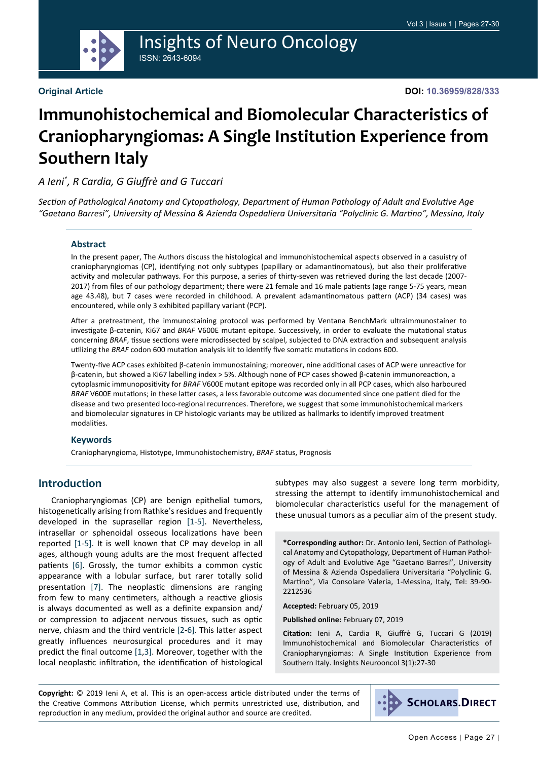

# Insights of Neuro Oncology ISSN: 2643-6094

#### **Original Article**

**DOI: 10.36959/828/333**

# **Immunohistochemical and Biomolecular Characteristics of Craniopharyngiomas: A Single Institution Experience from Southern Italy**

## *A Ieni\* , R Cardia, G Giuffrè and G Tuccari*

*Section of Pathological Anatomy and Cytopathology, Department of Human Pathology of Adult and Evolutive Age "Gaetano Barresi", University of Messina & Azienda Ospedaliera Universitaria "Polyclinic G. Martino", Messina, Italy*

#### **Abstract**

In the present paper, The Authors discuss the histological and immunohistochemical aspects observed in a casuistry of craniopharyngiomas (CP), identifying not only subtypes (papillary or adamantinomatous), but also their proliferative activity and molecular pathways. For this purpose, a series of thirty-seven was retrieved during the last decade (2007- 2017) from files of our pathology department; there were 21 female and 16 male patients (age range 5-75 years, mean age 43.48), but 7 cases were recorded in childhood. A prevalent adamantinomatous pattern (ACP) (34 cases) was encountered, while only 3 exhibited papillary variant (PCP).

After a pretreatment, the immunostaining protocol was performed by Ventana BenchMark ultraimmunostainer to investigate β-catenin, Ki67 and *BRAF* V600E mutant epitope. Successively, in order to evaluate the mutational status concerning *BRAF*, tissue sections were microdissected by scalpel, subjected to DNA extraction and subsequent analysis utilizing the *BRAF* codon 600 mutation analysis kit to identify five somatic mutations in codons 600.

Twenty-five ACP cases exhibited β-catenin immunostaining; moreover, nine additional cases of ACP were unreactive for β-catenin, but showed a Ki67 labelling index > 5%. Although none of PCP cases showed β-catenin immunoreaction, a cytoplasmic immunopositivity for *BRAF* V600E mutant epitope was recorded only in all PCP cases, which also harboured *BRAF* V600E mutations; in these latter cases, a less favorable outcome was documented since one patient died for the disease and two presented loco-regional recurrences. Therefore, we suggest that some immunohistochemical markers and biomolecular signatures in CP histologic variants may be utilized as hallmarks to identify improved treatment modalities.

#### **Keywords**

Craniopharyngioma, Histotype, Immunohistochemistry, *BRAF* status, Prognosis

#### **Introduction**

Craniopharyngiomas (CP) are benign epithelial tumors, histogenetically arising from Rathke's residues and frequently developed in the suprasellar region [\[1](#page-2-0)[-5](#page-3-0)]. Nevertheless, intrasellar or sphenoidal osseous localizations have been reported [\[1](#page-2-0)[-5](#page-3-0)]. It is well known that CP may develop in all ages, although young adults are the most frequent affected patients [\[6](#page-3-1)]. Grossly, the tumor exhibits a common cystic appearance with a lobular surface, but rarer totally solid presentation [[7\]](#page-3-2). The neoplastic dimensions are ranging from few to many centimeters, although a reactive gliosis is always documented as well as a definite expansion and/ or compression to adjacent nervous tissues, such as optic nerve, chiasm and the third ventricle [\[2](#page-2-1)[-6](#page-3-1)]. This latter aspect greatly influences neurosurgical procedures and it may predict the final outcome [\[1](#page-2-0),[3\]](#page-3-3). Moreover, together with the local neoplastic infiltration, the identification of histological subtypes may also suggest a severe long term morbidity, stressing the attempt to identify immunohistochemical and biomolecular characteristics useful for the management of these unusual tumors as a peculiar aim of the present study.

**\*Corresponding author:** Dr. Antonio Ieni, Section of Pathological Anatomy and Cytopathology, Department of Human Pathology of Adult and Evolutive Age "Gaetano Barresi", University of Messina & Azienda Ospedaliera Universitaria "Polyclinic G. Martino", Via Consolare Valeria, 1-Messina, Italy, Tel: 39-90- 2212536

**Accepted:** February 05, 2019

**Published online:** February 07, 2019

**Citation:** Ieni A, Cardia R, Giuffrè G, Tuccari G (2019) Immunohistochemical and Biomolecular Characteristics of Craniopharyngiomas: A Single Institution Experience from Southern Italy. Insights Neurooncol 3(1):27-30

**Copyright:** © 2019 Ieni A, et al. This is an open-access article distributed under the terms of the Creative Commons Attribution License, which permits unrestricted use, distribution, and reproduction in any medium, provided the original author and source are credited.

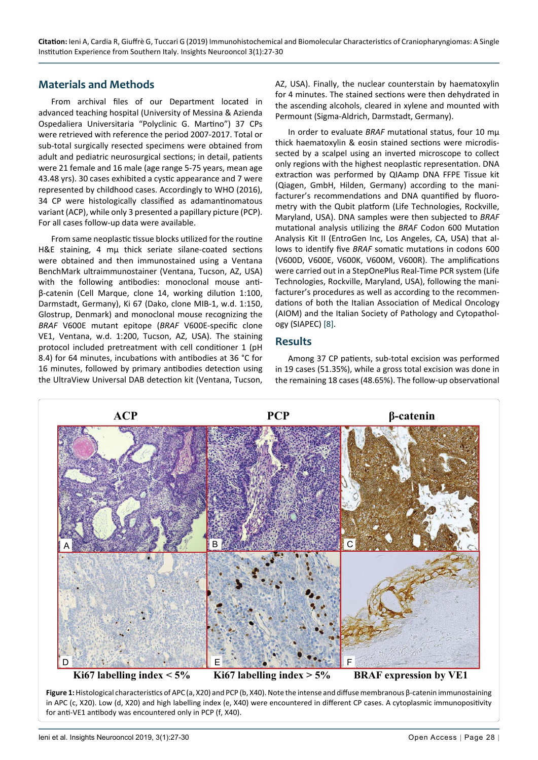## **Materials and Methods**

From archival files of our Department located in advanced teaching hospital (University of Messina & Azienda Ospedaliera Universitaria "Polyclinic G. Martino") 37 CPs were retrieved with reference the period 2007-2017. Total or sub-total surgically resected specimens were obtained from adult and pediatric neurosurgical sections; in detail, patients were 21 female and 16 male (age range 5-75 years, mean age 43.48 yrs). 30 cases exhibited a cystic appearance and 7 were represented by childhood cases. Accordingly to WHO (2016), 34 CP were histologically classified as adamantinomatous variant (ACP), while only 3 presented a papillary picture (PCP). For all cases follow-up data were available.

From same neoplastic tissue blocks utilized for the routine H&E staining, 4 mu thick seriate silane-coated sections were obtained and then immunostained using a Ventana BenchMark ultraimmunostainer (Ventana, Tucson, AZ, USA) with the following antibodies: monoclonal mouse antiβ-catenin (Cell Marque, clone 14, working dilution 1:100, Darmstadt, Germany), Ki 67 (Dako, clone MIB-1, w.d. 1:150, Glostrup, Denmark) and monoclonal mouse recognizing the *BRAF* V600E mutant epitope (*BRAF* V600E-specific clone VE1, Ventana, w.d. 1:200, Tucson, AZ, USA). The staining protocol included pretreatment with cell conditioner 1 (pH 8.4) for 64 minutes, incubations with antibodies at 36 °C for 16 minutes, followed by primary antibodies detection using the UltraView Universal DAB detection kit (Ventana, Tucson, AZ, USA). Finally, the nuclear counterstain by haematoxylin for 4 minutes. The stained sections were then dehydrated in the ascending alcohols, cleared in xylene and mounted with Permount (Sigma-Aldrich, Darmstadt, Germany).

In order to evaluate *BRAF* mutational status, four 10 mµ thick haematoxylin & eosin stained sections were microdissected by a scalpel using an inverted microscope to collect only regions with the highest neoplastic representation. DNA extraction was performed by QIAamp DNA FFPE Tissue kit (Qiagen, GmbH, Hilden, Germany) according to the manifacturer's recommendations and DNA quantified by fluorometry with the Qubit platform (Life Technologies, Rockville, Maryland, USA). DNA samples were then subjected to *BRAF* mutational analysis utilizing the *BRAF* Codon 600 Mutation Analysis Kit II (EntroGen Inc, Los Angeles, CA, USA) that allows to identify five *BRAF* somatic mutations in codons 600 (V600D, V600E, V600K, V600M, V600R). The amplifications were carried out in a StepOnePlus Real-Time PCR system (Life Technologies, Rockville, Maryland, USA), following the manifacturer's procedures as well as according to the recommendations of both the Italian Association of Medical Oncology (AIOM) and the Italian Society of Pathology and Cytopathology (SIAPEC) [\[8](#page-3-4)].

#### **Results**

Among 37 CP patients, sub-total excision was performed in 19 cases (51.35%), while a gross total excision was done in the remaining 18 cases (48.65%). The follow-up observational

<span id="page-1-0"></span>

**Figure 1:** Histological characteristics of APC (a, X20) and PCP (b, X40). Note the intense and diffuse membranous β-catenin immunostaining in APC (c, X20). Low (d, X20) and high labelling index (e, X40) were encountered in different CP cases. A cytoplasmic immunopositivity for anti-VE1 antibody was encountered only in PCP (f, X40).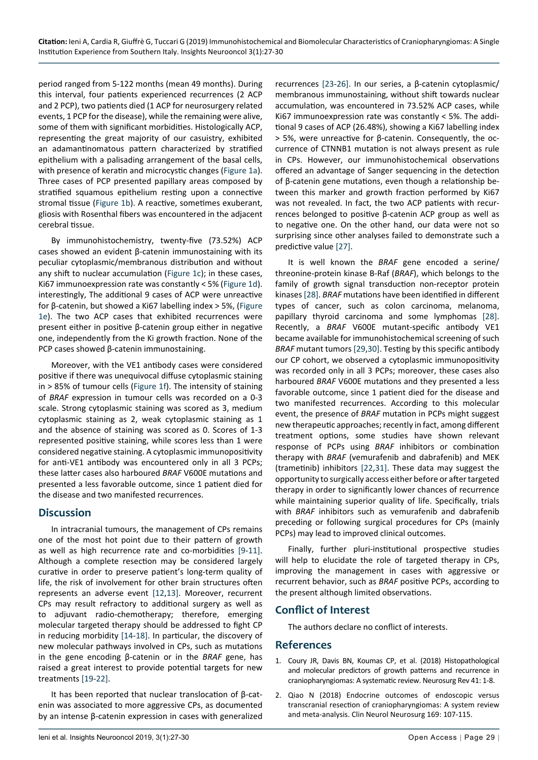period ranged from 5-122 months (mean 49 months). During this interval, four patients experienced recurrences (2 ACP and 2 PCP), two patients died (1 ACP for neurosurgery related events, 1 PCP for the disease), while the remaining were alive, some of them with significant morbidities. Histologically ACP, representing the great majority of our casuistry, exhibited an adamantinomatous pattern characterized by stratified epithelium with a palisading arrangement of the basal cells, with presence of keratin and microcystic changes ([Figure 1a\)](#page-1-0). Three cases of PCP presented papillary areas composed by stratified squamous epithelium resting upon a connective stromal tissue ([Figure 1b](#page-1-0)). A reactive, sometimes exuberant, gliosis with Rosenthal fibers was encountered in the adjacent cerebral tissue.

By immunohistochemistry, twenty-five (73.52%) ACP cases showed an evident β-catenin immunostaining with its peculiar cytoplasmic/membranous distribution and without any shift to nuclear accumulation [\(Figure 1c](#page-1-0)); in these cases, Ki67 immunoexpression rate was constantly < 5% [\(Figure 1d\)](#page-1-0). interestingly, The additional 9 cases of ACP were unreactive for β-catenin, but showed a Ki67 labelling index > 5%, [\(Figure](#page-1-0)  [1e](#page-1-0)). The two ACP cases that exhibited recurrences were present either in positive β-catenin group either in negative one, independently from the Ki growth fraction. None of the PCP cases showed β-catenin immunostaining.

Moreover, with the VE1 antibody cases were considered positive if there was unequivocal diffuse cytoplasmic staining in > 85% of tumour cells ([Figure 1f\)](#page-1-0). The intensity of staining of *BRAF* expression in tumour cells was recorded on a 0-3 scale. Strong cytoplasmic staining was scored as 3, medium cytoplasmic staining as 2, weak cytoplasmic staining as 1 and the absence of staining was scored as 0. Scores of 1-3 represented positive staining, while scores less than 1 were considered negative staining. A cytoplasmic immunopositivity for anti-VE1 antibody was encountered only in all 3 PCPs; these latter cases also harboured *BRAF* V600E mutations and presented a less favorable outcome, since 1 patient died for the disease and two manifested recurrences.

## **Discussion**

In intracranial tumours, the management of CPs remains one of the most hot point due to their pattern of growth as well as high recurrence rate and co-morbidities [[9-](#page-3-13)[11\]](#page-3-14). Although a complete resection may be considered largely curative in order to preserve patient's long-term quality of life, the risk of involvement for other brain structures often represents an adverse event [[12](#page-3-15)[,13\]](#page-3-16). Moreover, recurrent CPs may result refractory to additional surgery as well as to adjuvant radio-chemotherapy; therefore, emerging molecular targeted therapy should be addressed to fight CP in reducing morbidity [\[14](#page-3-17)-[18](#page-3-18)]. In particular, the discovery of new molecular pathways involved in CPs, such as mutations in the gene encoding β*-*catenin or in the *BRAF* gene, has raised a great interest to provide potential targets for new treatments [\[19](#page-3-19)[-22\]](#page-3-11).

It has been reported that nuclear translocation of β-catenin was associated to more aggressive CPs, as documented by an intense β*-*catenin expression in cases with generalized

recurrences [[23-](#page-3-5)[26\]](#page-3-6). In our series, a β-catenin cytoplasmic/ membranous immunostaining, without shift towards nuclear accumulation, was encountered in 73.52% ACP cases, while Ki67 immunoexpression rate was constantly < 5%. The additional 9 cases of ACP (26.48%), showing a Ki67 labelling index > 5%, were unreactive for β-catenin. Consequently, the occurrence of CTNNB1 mutation is not always present as rule in CPs. However, our immunohistochemical observations offered an advantage of Sanger sequencing in the detection of β-catenin gene mutations, even though a relationship between this marker and growth fraction performed by Ki67 was not revealed. In fact, the two ACP patients with recurrences belonged to positive β-catenin ACP group as well as to negative one. On the other hand, our data were not so surprising since other analyses failed to demonstrate such a predictive value [[27\]](#page-3-7).

It is well known the *BRAF* gene encoded a serine/ threonine-protein kinase B-Raf (*BRAF*), which belongs to the family of growth signal transduction non-receptor protein kinases [\[28](#page-3-8)]. *BRAF* mutations have been identified in different types of cancer, such as colon carcinoma, melanoma, papillary thyroid carcinoma and some lymphomas [\[28](#page-3-8)]. Recently, a *BRAF* V600E mutant-specific antibody VE1 became available for immunohistochemical screening of such *BRAF* mutant tumors [\[29](#page-3-9),[30](#page-3-10)]. Testing by this specific antibody our CP cohort, we observed a cytoplasmic immunopositivity was recorded only in all 3 PCPs; moreover, these cases also harboured *BRAF* V600E mutations and they presented a less favorable outcome, since 1 patient died for the disease and two manifested recurrences. According to this molecular event, the presence of *BRAF* mutation in PCPs might suggest new therapeutic approaches; recently in fact, among different treatment options, some studies have shown relevant response of PCPs using *BRAF* inhibitors or combination therapy with *BRAF* (vemurafenib and dabrafenib) and MEK (trametinib) inhibitors [[22,](#page-3-11)[31](#page-3-12)]. These data may suggest the opportunity to surgically access either before or after targeted therapy in order to significantly lower chances of recurrence while maintaining superior quality of life. Specifically, trials with *BRAF* inhibitors such as vemurafenib and dabrafenib preceding or following surgical procedures for CPs (mainly PCPs) may lead to improved clinical outcomes.

Finally, further pluri-institutional prospective studies will help to elucidate the role of targeted therapy in CPs, improving the management in cases with aggressive or recurrent behavior, such as *BRAF* positive PCPs, according to the present although limited observations.

## **Conflict of Interest**

The authors declare no conflict of interests.

#### **References**

- <span id="page-2-0"></span>1. [Coury JR, Davis BN, Koumas CP, et al. \(2018\) Histopathological](https://www.ncbi.nlm.nih.gov/pubmed/29666970)  [and molecular predictors of growth patterns and recurrence in](https://www.ncbi.nlm.nih.gov/pubmed/29666970)  [craniopharyngiomas: A systematic review. Neurosurg Rev 41: 1-8](https://www.ncbi.nlm.nih.gov/pubmed/29666970).
- <span id="page-2-1"></span>2. [Qiao N \(2018\) Endocrine outcomes of endoscopic versus](https://www.ncbi.nlm.nih.gov/pubmed/29655011)  [transcranial resection of craniopharyngiomas: A system review](https://www.ncbi.nlm.nih.gov/pubmed/29655011)  [and meta-analysis. Clin Neurol Neurosurg 169: 107-115.](https://www.ncbi.nlm.nih.gov/pubmed/29655011)